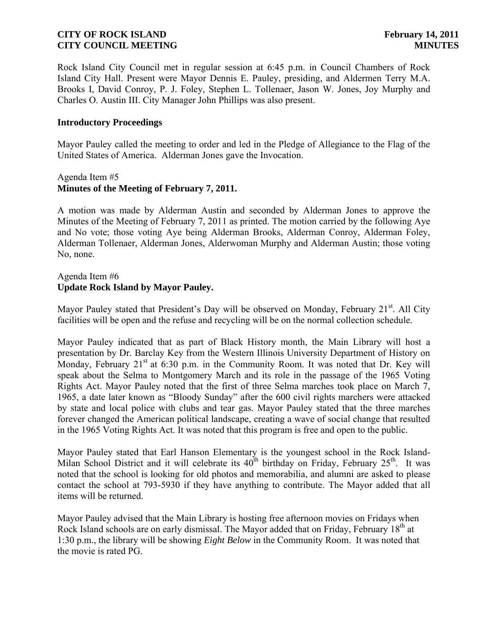Rock Island City Council met in regular session at 6:45 p.m. in Council Chambers of Rock Island City Hall. Present were Mayor Dennis E. Pauley, presiding, and Aldermen Terry M.A. Brooks I, David Conroy, P. J. Foley, Stephen L. Tollenaer, Jason W. Jones, Joy Murphy and Charles O. Austin III. City Manager John Phillips was also present.

### **Introductory Proceedings**

Mayor Pauley called the meeting to order and led in the Pledge of Allegiance to the Flag of the United States of America. Alderman Jones gave the Invocation.

### Agenda Item #5 **Minutes of the Meeting of February 7, 2011.**

A motion was made by Alderman Austin and seconded by Alderman Jones to approve the Minutes of the Meeting of February 7, 2011 as printed. The motion carried by the following Aye and No vote; those voting Aye being Alderman Brooks, Alderman Conroy, Alderman Foley, Alderman Tollenaer, Alderman Jones, Alderwoman Murphy and Alderman Austin; those voting No, none.

### Agenda Item #6 **Update Rock Island by Mayor Pauley.**

Mayor Pauley stated that President's Day will be observed on Monday, February 21<sup>st</sup>. All City facilities will be open and the refuse and recycling will be on the normal collection schedule.

Mayor Pauley indicated that as part of Black History month, the Main Library will host a presentation by Dr. Barclay Key from the Western Illinois University Department of History on Monday, February  $21<sup>st</sup>$  at 6:30 p.m. in the Community Room. It was noted that Dr. Key will speak about the Selma to Montgomery March and its role in the passage of the 1965 Voting Rights Act. Mayor Pauley noted that the first of three Selma marches took place on March 7, 1965, a date later known as "Bloody Sunday" after the 600 civil rights marchers were attacked by state and local police with clubs and tear gas. Mayor Pauley stated that the three marches forever changed the American political landscape, creating a wave of social change that resulted in the 1965 Voting Rights Act. It was noted that this program is free and open to the public.

Mayor Pauley stated that Earl Hanson Elementary is the youngest school in the Rock Island-Milan School District and it will celebrate its  $40^{th}$  birthday on Friday, February  $25^{th}$ . It was noted that the school is looking for old photos and memorabilia, and alumni are asked to please contact the school at 793-5930 if they have anything to contribute. The Mayor added that all items will be returned.

Mayor Pauley advised that the Main Library is hosting free afternoon movies on Fridays when Rock Island schools are on early dismissal. The Mayor added that on Friday, February 18<sup>th</sup> at 1:30 p.m., the library will be showing *Eight Below* in the Community Room. It was noted that the movie is rated PG.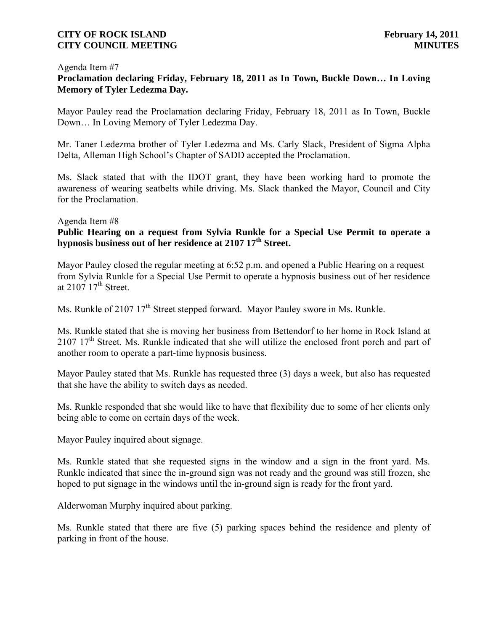#### Agenda Item #7

# **Proclamation declaring Friday, February 18, 2011 as In Town, Buckle Down… In Loving Memory of Tyler Ledezma Day.**

Mayor Pauley read the Proclamation declaring Friday, February 18, 2011 as In Town, Buckle Down… In Loving Memory of Tyler Ledezma Day.

Mr. Taner Ledezma brother of Tyler Ledezma and Ms. Carly Slack, President of Sigma Alpha Delta, Alleman High School's Chapter of SADD accepted the Proclamation.

Ms. Slack stated that with the IDOT grant, they have been working hard to promote the awareness of wearing seatbelts while driving. Ms. Slack thanked the Mayor, Council and City for the Proclamation.

#### Agenda Item #8

# **Public Hearing on a request from Sylvia Runkle for a Special Use Permit to operate a hypnosis business out of her residence at 2107 17th Street.**

Mayor Pauley closed the regular meeting at 6:52 p.m. and opened a Public Hearing on a request from Sylvia Runkle for a Special Use Permit to operate a hypnosis business out of her residence at  $2107$   $17<sup>th</sup>$  Street.

Ms. Runkle of 2107 17<sup>th</sup> Street stepped forward. Mayor Pauley swore in Ms. Runkle.

Ms. Runkle stated that she is moving her business from Bettendorf to her home in Rock Island at  $2107$   $17<sup>th</sup>$  Street. Ms. Runkle indicated that she will utilize the enclosed front porch and part of another room to operate a part-time hypnosis business.

Mayor Pauley stated that Ms. Runkle has requested three (3) days a week, but also has requested that she have the ability to switch days as needed.

Ms. Runkle responded that she would like to have that flexibility due to some of her clients only being able to come on certain days of the week.

Mayor Pauley inquired about signage.

Ms. Runkle stated that she requested signs in the window and a sign in the front yard. Ms. Runkle indicated that since the in-ground sign was not ready and the ground was still frozen, she hoped to put signage in the windows until the in-ground sign is ready for the front yard.

Alderwoman Murphy inquired about parking.

Ms. Runkle stated that there are five (5) parking spaces behind the residence and plenty of parking in front of the house.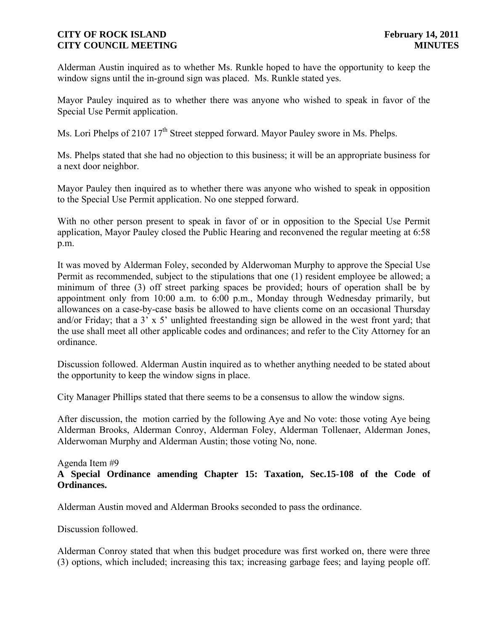Alderman Austin inquired as to whether Ms. Runkle hoped to have the opportunity to keep the window signs until the in-ground sign was placed. Ms. Runkle stated yes.

Mayor Pauley inquired as to whether there was anyone who wished to speak in favor of the Special Use Permit application.

Ms. Lori Phelps of 2107 17<sup>th</sup> Street stepped forward. Mayor Pauley swore in Ms. Phelps.

Ms. Phelps stated that she had no objection to this business; it will be an appropriate business for a next door neighbor.

Mayor Pauley then inquired as to whether there was anyone who wished to speak in opposition to the Special Use Permit application. No one stepped forward.

With no other person present to speak in favor of or in opposition to the Special Use Permit application, Mayor Pauley closed the Public Hearing and reconvened the regular meeting at 6:58 p.m.

It was moved by Alderman Foley, seconded by Alderwoman Murphy to approve the Special Use Permit as recommended, subject to the stipulations that one (1) resident employee be allowed; a minimum of three (3) off street parking spaces be provided; hours of operation shall be by appointment only from 10:00 a.m. to 6:00 p.m., Monday through Wednesday primarily, but allowances on a case-by-case basis be allowed to have clients come on an occasional Thursday and/or Friday; that a 3' x 5' unlighted freestanding sign be allowed in the west front yard; that the use shall meet all other applicable codes and ordinances; and refer to the City Attorney for an ordinance.

Discussion followed. Alderman Austin inquired as to whether anything needed to be stated about the opportunity to keep the window signs in place.

City Manager Phillips stated that there seems to be a consensus to allow the window signs.

After discussion, the motion carried by the following Aye and No vote: those voting Aye being Alderman Brooks, Alderman Conroy, Alderman Foley, Alderman Tollenaer, Alderman Jones, Alderwoman Murphy and Alderman Austin; those voting No, none.

### Agenda Item #9 **A Special Ordinance amending Chapter 15: Taxation, Sec.15-108 of the Code of Ordinances.**

Alderman Austin moved and Alderman Brooks seconded to pass the ordinance.

Discussion followed.

Alderman Conroy stated that when this budget procedure was first worked on, there were three (3) options, which included; increasing this tax; increasing garbage fees; and laying people off.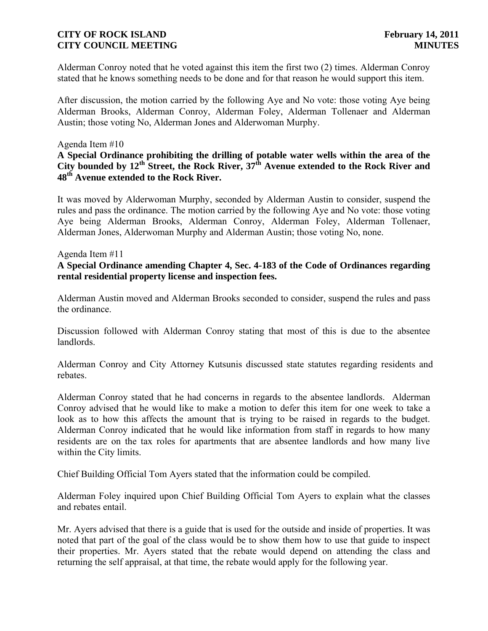Alderman Conroy noted that he voted against this item the first two (2) times. Alderman Conroy stated that he knows something needs to be done and for that reason he would support this item.

After discussion, the motion carried by the following Aye and No vote: those voting Aye being Alderman Brooks, Alderman Conroy, Alderman Foley, Alderman Tollenaer and Alderman Austin; those voting No, Alderman Jones and Alderwoman Murphy.

### Agenda Item #10

# **A Special Ordinance prohibiting the drilling of potable water wells within the area of the City bounded by 12th Street, the Rock River, 37th Avenue extended to the Rock River and 48th Avenue extended to the Rock River.**

It was moved by Alderwoman Murphy, seconded by Alderman Austin to consider, suspend the rules and pass the ordinance. The motion carried by the following Aye and No vote: those voting Aye being Alderman Brooks, Alderman Conroy, Alderman Foley, Alderman Tollenaer, Alderman Jones, Alderwoman Murphy and Alderman Austin; those voting No, none.

#### Agenda Item #11

# **A Special Ordinance amending Chapter 4, Sec. 4-183 of the Code of Ordinances regarding rental residential property license and inspection fees.**

Alderman Austin moved and Alderman Brooks seconded to consider, suspend the rules and pass the ordinance.

Discussion followed with Alderman Conroy stating that most of this is due to the absentee landlords.

Alderman Conroy and City Attorney Kutsunis discussed state statutes regarding residents and rebates.

Alderman Conroy stated that he had concerns in regards to the absentee landlords. Alderman Conroy advised that he would like to make a motion to defer this item for one week to take a look as to how this affects the amount that is trying to be raised in regards to the budget. Alderman Conroy indicated that he would like information from staff in regards to how many residents are on the tax roles for apartments that are absentee landlords and how many live within the City limits.

Chief Building Official Tom Ayers stated that the information could be compiled.

Alderman Foley inquired upon Chief Building Official Tom Ayers to explain what the classes and rebates entail.

Mr. Ayers advised that there is a guide that is used for the outside and inside of properties. It was noted that part of the goal of the class would be to show them how to use that guide to inspect their properties. Mr. Ayers stated that the rebate would depend on attending the class and returning the self appraisal, at that time, the rebate would apply for the following year.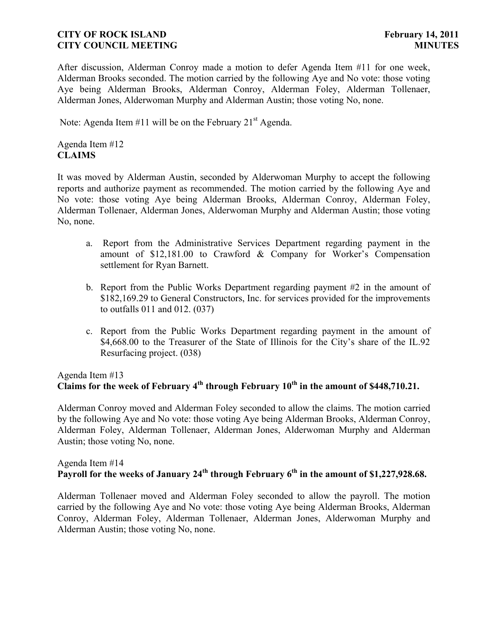After discussion, Alderman Conroy made a motion to defer Agenda Item #11 for one week, Alderman Brooks seconded. The motion carried by the following Aye and No vote: those voting Aye being Alderman Brooks, Alderman Conroy, Alderman Foley, Alderman Tollenaer, Alderman Jones, Alderwoman Murphy and Alderman Austin; those voting No, none.

Note: Agenda Item #11 will be on the February  $21<sup>st</sup>$  Agenda.

Agenda Item #12 **CLAIMS**

It was moved by Alderman Austin, seconded by Alderwoman Murphy to accept the following reports and authorize payment as recommended. The motion carried by the following Aye and No vote: those voting Aye being Alderman Brooks, Alderman Conroy, Alderman Foley, Alderman Tollenaer, Alderman Jones, Alderwoman Murphy and Alderman Austin; those voting No, none.

- a. Report from the Administrative Services Department regarding payment in the amount of \$12,181.00 to Crawford & Company for Worker's Compensation settlement for Ryan Barnett.
- b. Report from the Public Works Department regarding payment #2 in the amount of \$182,169.29 to General Constructors, Inc. for services provided for the improvements to outfalls 011 and 012. (037)
- c. Report from the Public Works Department regarding payment in the amount of \$4,668.00 to the Treasurer of the State of Illinois for the City's share of the IL.92 Resurfacing project. (038)

# Agenda Item #13 **Claims for the week of February 4th through February 10th in the amount of \$448,710.21.**

Alderman Conroy moved and Alderman Foley seconded to allow the claims. The motion carried by the following Aye and No vote: those voting Aye being Alderman Brooks, Alderman Conroy, Alderman Foley, Alderman Tollenaer, Alderman Jones, Alderwoman Murphy and Alderman Austin; those voting No, none.

# Agenda Item #14 **Payroll for the weeks of January 24th through February 6th in the amount of \$1,227,928.68.**

Alderman Tollenaer moved and Alderman Foley seconded to allow the payroll. The motion carried by the following Aye and No vote: those voting Aye being Alderman Brooks, Alderman Conroy, Alderman Foley, Alderman Tollenaer, Alderman Jones, Alderwoman Murphy and Alderman Austin; those voting No, none.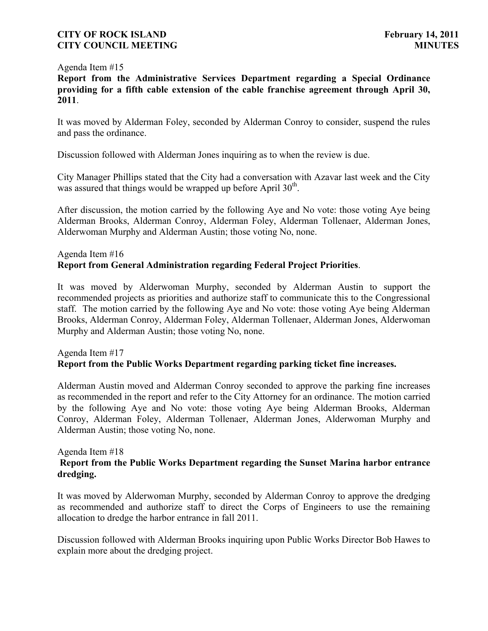### Agenda Item #15

**Report from the Administrative Services Department regarding a Special Ordinance providing for a fifth cable extension of the cable franchise agreement through April 30, 2011**.

It was moved by Alderman Foley, seconded by Alderman Conroy to consider, suspend the rules and pass the ordinance.

Discussion followed with Alderman Jones inquiring as to when the review is due.

City Manager Phillips stated that the City had a conversation with Azavar last week and the City was assured that things would be wrapped up before April  $30<sup>th</sup>$ .

After discussion, the motion carried by the following Aye and No vote: those voting Aye being Alderman Brooks, Alderman Conroy, Alderman Foley, Alderman Tollenaer, Alderman Jones, Alderwoman Murphy and Alderman Austin; those voting No, none.

# Agenda Item #16 **Report from General Administration regarding Federal Project Priorities**.

It was moved by Alderwoman Murphy, seconded by Alderman Austin to support the recommended projects as priorities and authorize staff to communicate this to the Congressional staff. The motion carried by the following Aye and No vote: those voting Aye being Alderman Brooks, Alderman Conroy, Alderman Foley, Alderman Tollenaer, Alderman Jones, Alderwoman Murphy and Alderman Austin; those voting No, none.

# Agenda Item #17 **Report from the Public Works Department regarding parking ticket fine increases.**

Alderman Austin moved and Alderman Conroy seconded to approve the parking fine increases as recommended in the report and refer to the City Attorney for an ordinance. The motion carried by the following Aye and No vote: those voting Aye being Alderman Brooks, Alderman Conroy, Alderman Foley, Alderman Tollenaer, Alderman Jones, Alderwoman Murphy and Alderman Austin; those voting No, none.

### Agenda Item #18

# **Report from the Public Works Department regarding the Sunset Marina harbor entrance dredging.**

It was moved by Alderwoman Murphy, seconded by Alderman Conroy to approve the dredging as recommended and authorize staff to direct the Corps of Engineers to use the remaining allocation to dredge the harbor entrance in fall 2011.

Discussion followed with Alderman Brooks inquiring upon Public Works Director Bob Hawes to explain more about the dredging project.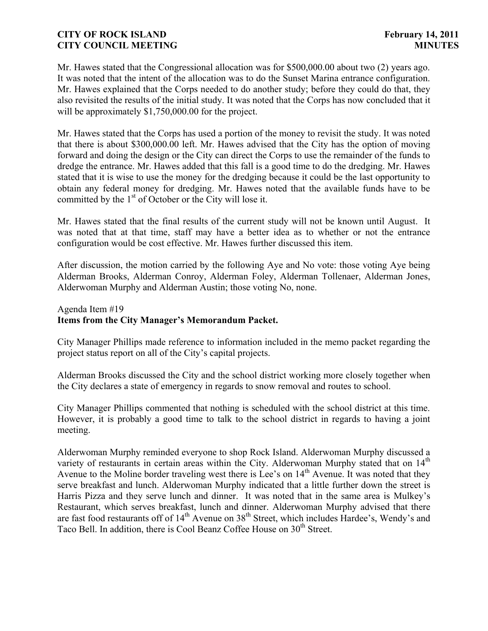Mr. Hawes stated that the Congressional allocation was for \$500,000.00 about two (2) years ago. It was noted that the intent of the allocation was to do the Sunset Marina entrance configuration. Mr. Hawes explained that the Corps needed to do another study; before they could do that, they also revisited the results of the initial study. It was noted that the Corps has now concluded that it will be approximately \$1,750,000.00 for the project.

Mr. Hawes stated that the Corps has used a portion of the money to revisit the study. It was noted that there is about \$300,000.00 left. Mr. Hawes advised that the City has the option of moving forward and doing the design or the City can direct the Corps to use the remainder of the funds to dredge the entrance. Mr. Hawes added that this fall is a good time to do the dredging. Mr. Hawes stated that it is wise to use the money for the dredging because it could be the last opportunity to obtain any federal money for dredging. Mr. Hawes noted that the available funds have to be committed by the 1<sup>st</sup> of October or the City will lose it.

Mr. Hawes stated that the final results of the current study will not be known until August. It was noted that at that time, staff may have a better idea as to whether or not the entrance configuration would be cost effective. Mr. Hawes further discussed this item.

After discussion, the motion carried by the following Aye and No vote: those voting Aye being Alderman Brooks, Alderman Conroy, Alderman Foley, Alderman Tollenaer, Alderman Jones, Alderwoman Murphy and Alderman Austin; those voting No, none.

# Agenda Item #19 **Items from the City Manager's Memorandum Packet.**

City Manager Phillips made reference to information included in the memo packet regarding the project status report on all of the City's capital projects.

Alderman Brooks discussed the City and the school district working more closely together when the City declares a state of emergency in regards to snow removal and routes to school.

City Manager Phillips commented that nothing is scheduled with the school district at this time. However, it is probably a good time to talk to the school district in regards to having a joint meeting.

Alderwoman Murphy reminded everyone to shop Rock Island. Alderwoman Murphy discussed a variety of restaurants in certain areas within the City. Alderwoman Murphy stated that on  $14<sup>th</sup>$ Avenue to the Moline border traveling west there is Lee's on 14<sup>th</sup> Avenue. It was noted that they serve breakfast and lunch. Alderwoman Murphy indicated that a little further down the street is Harris Pizza and they serve lunch and dinner. It was noted that in the same area is Mulkey's Restaurant, which serves breakfast, lunch and dinner. Alderwoman Murphy advised that there are fast food restaurants off of  $14<sup>th</sup>$  Avenue on  $38<sup>th</sup>$  Street, which includes Hardee's, Wendy's and Taco Bell. In addition, there is Cool Beanz Coffee House on 30<sup>th</sup> Street.